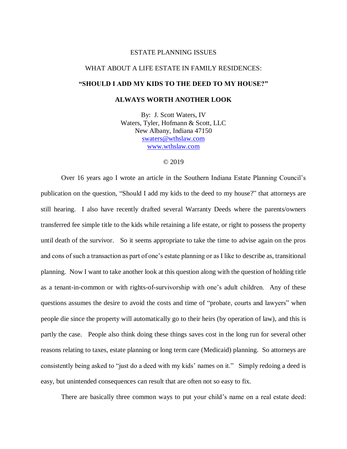#### ESTATE PLANNING ISSUES

# WHAT ABOUT A LIFE ESTATE IN FAMILY RESIDENCES:

## **"SHOULD I ADD MY KIDS TO THE DEED TO MY HOUSE?"**

## **ALWAYS WORTH ANOTHER LOOK**

By: J. Scott Waters, IV Waters, Tyler, Hofmann & Scott, LLC New Albany, Indiana 47150 [swaters@wthslaw.com](mailto:swaters@wthslaw.com) [www.wthslaw.com](http://www.wthslaw.com/)

### © 2019

Over 16 years ago I wrote an article in the Southern Indiana Estate Planning Council's publication on the question, "Should I add my kids to the deed to my house?" that attorneys are still hearing. I also have recently drafted several Warranty Deeds where the parents/owners transferred fee simple title to the kids while retaining a life estate, or right to possess the property until death of the survivor. So it seems appropriate to take the time to advise again on the pros and cons of such a transaction as part of one's estate planning or as I like to describe as, transitional planning. Now I want to take another look at this question along with the question of holding title as a tenant-in-common or with rights-of-survivorship with one's adult children. Any of these questions assumes the desire to avoid the costs and time of "probate, courts and lawyers" when people die since the property will automatically go to their heirs (by operation of law), and this is partly the case. People also think doing these things saves cost in the long run for several other reasons relating to taxes, estate planning or long term care (Medicaid) planning. So attorneys are consistently being asked to "just do a deed with my kids' names on it." Simply redoing a deed is easy, but unintended consequences can result that are often not so easy to fix.

There are basically three common ways to put your child's name on a real estate deed: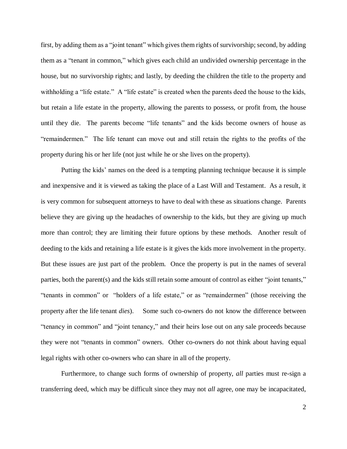first, by adding them as a "joint tenant" which gives them rights of survivorship; second, by adding them as a "tenant in common," which gives each child an undivided ownership percentage in the house, but no survivorship rights; and lastly, by deeding the children the title to the property and withholding a "life estate." A "life estate" is created when the parents deed the house to the kids, but retain a life estate in the property, allowing the parents to possess, or profit from, the house until they die. The parents become "life tenants" and the kids become owners of house as "remaindermen." The life tenant can move out and still retain the rights to the profits of the property during his or her life (not just while he or she lives on the property).

Putting the kids' names on the deed is a tempting planning technique because it is simple and inexpensive and it is viewed as taking the place of a Last Will and Testament. As a result, it is very common for subsequent attorneys to have to deal with these as situations change. Parents believe they are giving up the headaches of ownership to the kids, but they are giving up much more than control; they are limiting their future options by these methods. Another result of deeding to the kids and retaining a life estate is it gives the kids more involvement in the property. But these issues are just part of the problem. Once the property is put in the names of several parties, both the parent(s) and the kids still retain some amount of control as either "joint tenants," "tenants in common" or "holders of a life estate," or as "remaindermen" (those receiving the property after the life tenant *dies*). Some such co-owners do not know the difference between "tenancy in common" and "joint tenancy," and their heirs lose out on any sale proceeds because they were not "tenants in common" owners. Other co-owners do not think about having equal legal rights with other co-owners who can share in all of the property.

Furthermore, to change such forms of ownership of property, *all* parties must re-sign a transferring deed, which may be difficult since they may not *all* agree, one may be incapacitated,

2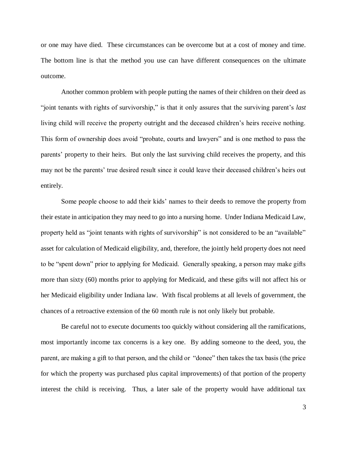or one may have died. These circumstances can be overcome but at a cost of money and time. The bottom line is that the method you use can have different consequences on the ultimate outcome.

Another common problem with people putting the names of their children on their deed as "joint tenants with rights of survivorship," is that it only assures that the surviving parent's *last*  living child will receive the property outright and the deceased children's heirs receive nothing. This form of ownership does avoid "probate, courts and lawyers" and is one method to pass the parents' property to their heirs. But only the last surviving child receives the property, and this may not be the parents' true desired result since it could leave their deceased children's heirs out entirely.

Some people choose to add their kids' names to their deeds to remove the property from their estate in anticipation they may need to go into a nursing home. Under Indiana Medicaid Law, property held as "joint tenants with rights of survivorship" is not considered to be an "available" asset for calculation of Medicaid eligibility, and, therefore, the jointly held property does not need to be "spent down" prior to applying for Medicaid. Generally speaking, a person may make gifts more than sixty (60) months prior to applying for Medicaid, and these gifts will not affect his or her Medicaid eligibility under Indiana law. With fiscal problems at all levels of government, the chances of a retroactive extension of the 60 month rule is not only likely but probable.

Be careful not to execute documents too quickly without considering all the ramifications, most importantly income tax concerns is a key one. By adding someone to the deed, you, the parent, are making a gift to that person, and the child or "donee" then takes the tax basis (the price for which the property was purchased plus capital improvements) of that portion of the property interest the child is receiving. Thus, a later sale of the property would have additional tax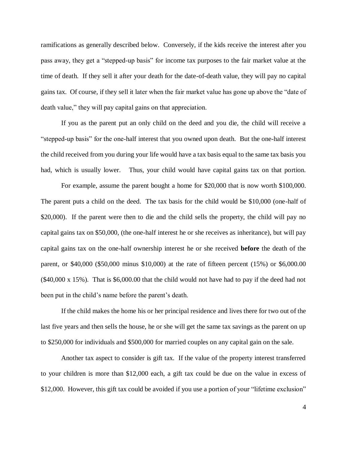ramifications as generally described below. Conversely, if the kids receive the interest after you pass away, they get a "stepped-up basis" for income tax purposes to the fair market value at the time of death. If they sell it after your death for the date-of-death value, they will pay no capital gains tax. Of course, if they sell it later when the fair market value has gone up above the "date of death value," they will pay capital gains on that appreciation.

If you as the parent put an only child on the deed and you die, the child will receive a "stepped-up basis" for the one-half interest that you owned upon death. But the one-half interest the child received from you during your life would have a tax basis equal to the same tax basis you had, which is usually lower. Thus, your child would have capital gains tax on that portion.

For example, assume the parent bought a home for \$20,000 that is now worth \$100,000. The parent puts a child on the deed. The tax basis for the child would be \$10,000 (one-half of \$20,000). If the parent were then to die and the child sells the property, the child will pay no capital gains tax on \$50,000, (the one-half interest he or she receives as inheritance), but will pay capital gains tax on the one-half ownership interest he or she received **before** the death of the parent, or \$40,000 (\$50,000 minus \$10,000) at the rate of fifteen percent (15%) or \$6,000.00 (\$40,000 x 15%). That is \$6,000.00 that the child would not have had to pay if the deed had not been put in the child's name before the parent's death.

If the child makes the home his or her principal residence and lives there for two out of the last five years and then sells the house, he or she will get the same tax savings as the parent on up to \$250,000 for individuals and \$500,000 for married couples on any capital gain on the sale.

Another tax aspect to consider is gift tax. If the value of the property interest transferred to your children is more than \$12,000 each, a gift tax could be due on the value in excess of \$12,000. However, this gift tax could be avoided if you use a portion of your "lifetime exclusion"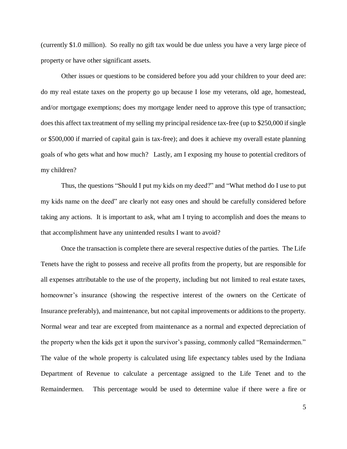(currently \$1.0 million). So really no gift tax would be due unless you have a very large piece of property or have other significant assets.

Other issues or questions to be considered before you add your children to your deed are: do my real estate taxes on the property go up because I lose my veterans, old age, homestead, and/or mortgage exemptions; does my mortgage lender need to approve this type of transaction; does this affect tax treatment of my selling my principal residence tax-free (up to \$250,000 if single or \$500,000 if married of capital gain is tax-free); and does it achieve my overall estate planning goals of who gets what and how much? Lastly, am I exposing my house to potential creditors of my children?

Thus, the questions "Should I put my kids on my deed?" and "What method do I use to put my kids name on the deed" are clearly not easy ones and should be carefully considered before taking any actions. It is important to ask, what am I trying to accomplish and does the means to that accomplishment have any unintended results I want to avoid?

Once the transaction is complete there are several respective duties of the parties. The Life Tenets have the right to possess and receive all profits from the property, but are responsible for all expenses attributable to the use of the property, including but not limited to real estate taxes, homeowner's insurance (showing the respective interest of the owners on the Certicate of Insurance preferably), and maintenance, but not capital improvements or additions to the property. Normal wear and tear are excepted from maintenance as a normal and expected depreciation of the property when the kids get it upon the survivor's passing, commonly called "Remaindermen." The value of the whole property is calculated using life expectancy tables used by the Indiana Department of Revenue to calculate a percentage assigned to the Life Tenet and to the Remaindermen. This percentage would be used to determine value if there were a fire or